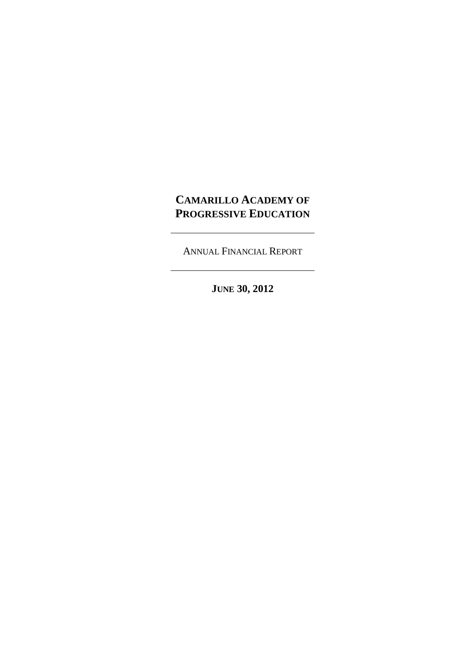# **CAMARILLO ACADEMY OF PROGRESSIVE EDUCATION**

ANNUAL FINANCIAL REPORT

**JUNE 30, 2012**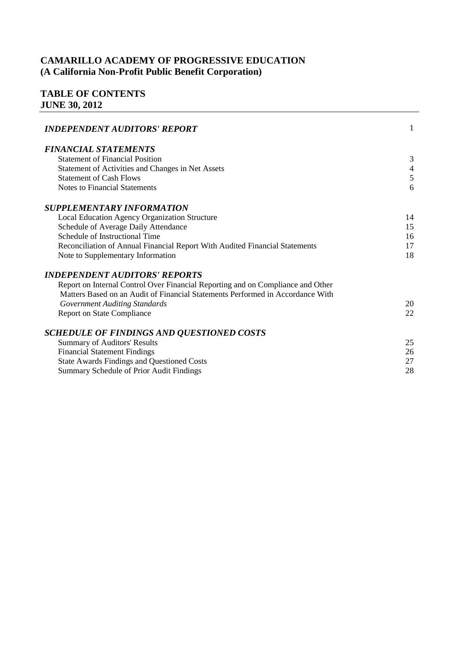# **TABLE OF CONTENTS JUNE 30, 2012**

| <b>INDEPENDENT AUDITORS' REPORT</b>                                             | $\mathbf{1}$   |
|---------------------------------------------------------------------------------|----------------|
| <b>FINANCIAL STATEMENTS</b>                                                     |                |
| <b>Statement of Financial Position</b>                                          | 3              |
| Statement of Activities and Changes in Net Assets                               | $\overline{4}$ |
| <b>Statement of Cash Flows</b>                                                  | $\sqrt{5}$     |
| <b>Notes to Financial Statements</b>                                            | 6              |
| <b>SUPPLEMENTARY INFORMATION</b>                                                |                |
| Local Education Agency Organization Structure                                   | 14             |
| Schedule of Average Daily Attendance                                            | 15             |
| Schedule of Instructional Time                                                  | 16             |
| Reconciliation of Annual Financial Report With Audited Financial Statements     | 17             |
| Note to Supplementary Information                                               | 18             |
| <b>INDEPENDENT AUDITORS' REPORTS</b>                                            |                |
| Report on Internal Control Over Financial Reporting and on Compliance and Other |                |
| Matters Based on an Audit of Financial Statements Performed in Accordance With  |                |
| <b>Government Auditing Standards</b>                                            | 20             |
| <b>Report on State Compliance</b>                                               | 22             |
| <b>SCHEDULE OF FINDINGS AND QUESTIONED COSTS</b>                                |                |
| <b>Summary of Auditors' Results</b>                                             | 25             |
| <b>Financial Statement Findings</b>                                             | 26             |
| <b>State Awards Findings and Questioned Costs</b>                               | 27             |
| Summary Schedule of Prior Audit Findings                                        | 28             |
|                                                                                 |                |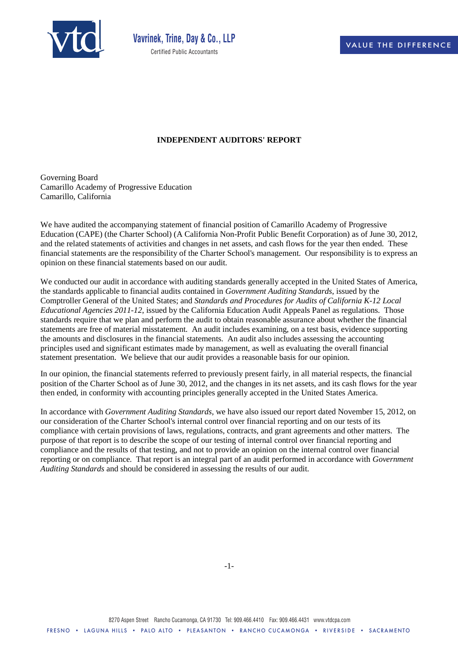

#### **INDEPENDENT AUDITORS' REPORT**

Governing Board Camarillo Academy of Progressive Education Camarillo, California

We have audited the accompanying statement of financial position of Camarillo Academy of Progressive Education (CAPE) (the Charter School) (A California Non-Profit Public Benefit Corporation) as of June 30, 2012, and the related statements of activities and changes in net assets, and cash flows for the year then ended. These financial statements are the responsibility of the Charter School's management. Our responsibility is to express an opinion on these financial statements based on our audit.

We conducted our audit in accordance with auditing standards generally accepted in the United States of America, the standards applicable to financial audits contained in *Government Auditing Standards*, issued by the Comptroller General of the United States; and *Standards and Procedures for Audits of California K-12 Local Educational Agencies 2011-12*, issued by the California Education Audit Appeals Panel as regulations. Those standards require that we plan and perform the audit to obtain reasonable assurance about whether the financial statements are free of material misstatement. An audit includes examining, on a test basis, evidence supporting the amounts and disclosures in the financial statements. An audit also includes assessing the accounting principles used and significant estimates made by management, as well as evaluating the overall financial statement presentation. We believe that our audit provides a reasonable basis for our opinion.

In our opinion, the financial statements referred to previously present fairly, in all material respects, the financial position of the Charter School as of June 30, 2012, and the changes in its net assets, and its cash flows for the year then ended, in conformity with accounting principles generally accepted in the United States America.

In accordance with *Government Auditing Standards*, we have also issued our report dated November 15, 2012, on our consideration of the Charter School's internal control over financial reporting and on our tests of its compliance with certain provisions of laws, regulations, contracts, and grant agreements and other matters. The purpose of that report is to describe the scope of our testing of internal control over financial reporting and compliance and the results of that testing, and not to provide an opinion on the internal control over financial reporting or on compliance. That report is an integral part of an audit performed in accordance with *Government Auditing Standards* and should be considered in assessing the results of our audit.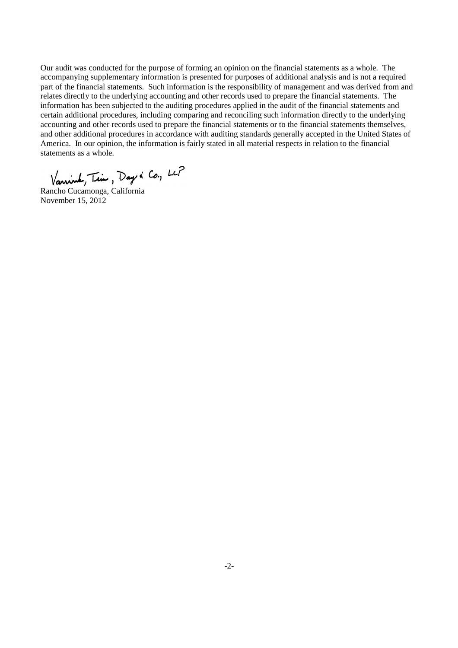Our audit was conducted for the purpose of forming an opinion on the financial statements as a whole. The accompanying supplementary information is presented for purposes of additional analysis and is not a required part of the financial statements. Such information is the responsibility of management and was derived from and relates directly to the underlying accounting and other records used to prepare the financial statements. The information has been subjected to the auditing procedures applied in the audit of the financial statements and certain additional procedures, including comparing and reconciling such information directly to the underlying accounting and other records used to prepare the financial statements or to the financial statements themselves, and other additional procedures in accordance with auditing standards generally accepted in the United States of America. In our opinion, the information is fairly stated in all material respects in relation to the financial statements as a whole.

Vannier, Tim, Day & Co., LCP<br>Rancho Cucamonga, California

November 15, 2012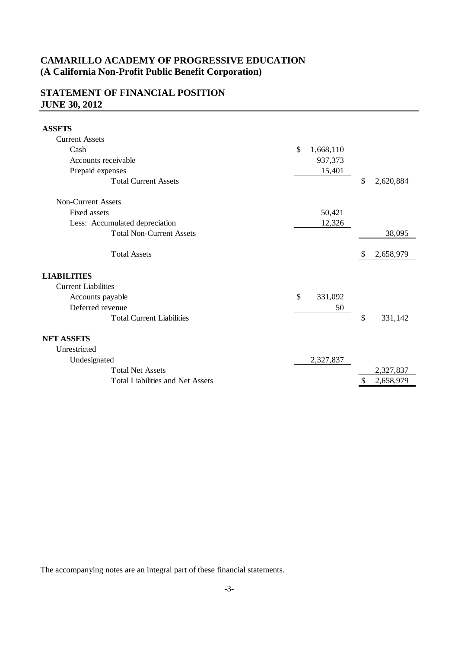# **STATEMENT OF FINANCIAL POSITION JUNE 30, 2012**

**ASSETS**

| Cash<br>\$<br>1,668,110<br>Accounts receivable<br>937,373<br>Prepaid expenses<br>15,401<br>\$<br><b>Total Current Assets</b><br>2,620,884<br><b>Non-Current Assets</b><br>Fixed assets<br>50,421<br>Less: Accumulated depreciation<br>12,326<br><b>Total Non-Current Assets</b><br>38,095<br><b>Total Assets</b><br>2,658,979<br><sup>S</sup><br><b>Current Liabilities</b><br>$\mathcal{S}$<br>Accounts payable<br>331,092<br>Deferred revenue<br>50<br>\$<br><b>Total Current Liabilities</b><br>331,142<br>Unrestricted<br>Undesignated<br>2,327,837<br><b>Total Net Assets</b><br>2,327,837<br><b>Total Liabilities and Net Assets</b><br>2,658,979<br>S | <b>Current Assets</b> |  |  |  |
|--------------------------------------------------------------------------------------------------------------------------------------------------------------------------------------------------------------------------------------------------------------------------------------------------------------------------------------------------------------------------------------------------------------------------------------------------------------------------------------------------------------------------------------------------------------------------------------------------------------------------------------------------------------|-----------------------|--|--|--|
|                                                                                                                                                                                                                                                                                                                                                                                                                                                                                                                                                                                                                                                              |                       |  |  |  |
|                                                                                                                                                                                                                                                                                                                                                                                                                                                                                                                                                                                                                                                              |                       |  |  |  |
|                                                                                                                                                                                                                                                                                                                                                                                                                                                                                                                                                                                                                                                              |                       |  |  |  |
|                                                                                                                                                                                                                                                                                                                                                                                                                                                                                                                                                                                                                                                              |                       |  |  |  |
|                                                                                                                                                                                                                                                                                                                                                                                                                                                                                                                                                                                                                                                              |                       |  |  |  |
|                                                                                                                                                                                                                                                                                                                                                                                                                                                                                                                                                                                                                                                              |                       |  |  |  |
|                                                                                                                                                                                                                                                                                                                                                                                                                                                                                                                                                                                                                                                              |                       |  |  |  |
|                                                                                                                                                                                                                                                                                                                                                                                                                                                                                                                                                                                                                                                              |                       |  |  |  |
|                                                                                                                                                                                                                                                                                                                                                                                                                                                                                                                                                                                                                                                              |                       |  |  |  |
|                                                                                                                                                                                                                                                                                                                                                                                                                                                                                                                                                                                                                                                              | <b>LIABILITIES</b>    |  |  |  |
|                                                                                                                                                                                                                                                                                                                                                                                                                                                                                                                                                                                                                                                              |                       |  |  |  |
|                                                                                                                                                                                                                                                                                                                                                                                                                                                                                                                                                                                                                                                              |                       |  |  |  |
|                                                                                                                                                                                                                                                                                                                                                                                                                                                                                                                                                                                                                                                              |                       |  |  |  |
|                                                                                                                                                                                                                                                                                                                                                                                                                                                                                                                                                                                                                                                              |                       |  |  |  |
|                                                                                                                                                                                                                                                                                                                                                                                                                                                                                                                                                                                                                                                              | <b>NET ASSETS</b>     |  |  |  |
|                                                                                                                                                                                                                                                                                                                                                                                                                                                                                                                                                                                                                                                              |                       |  |  |  |
|                                                                                                                                                                                                                                                                                                                                                                                                                                                                                                                                                                                                                                                              |                       |  |  |  |
|                                                                                                                                                                                                                                                                                                                                                                                                                                                                                                                                                                                                                                                              |                       |  |  |  |
|                                                                                                                                                                                                                                                                                                                                                                                                                                                                                                                                                                                                                                                              |                       |  |  |  |

The accompanying notes are an integral part of these financial statements.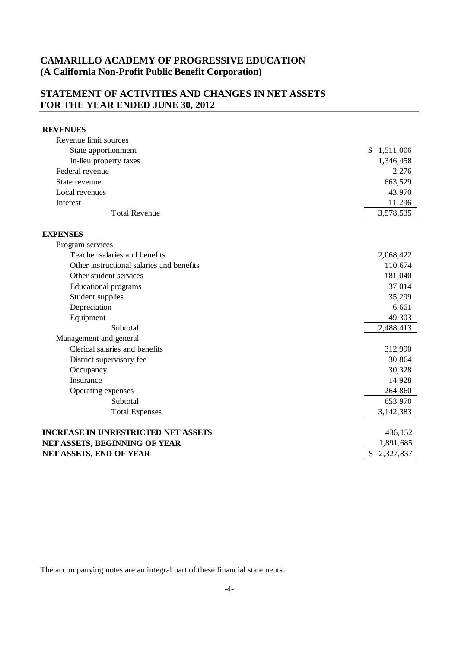### **STATEMENT OF ACTIVITIES AND CHANGES IN NET ASSETS FOR THE YEAR ENDED JUNE 30, 2012**

### **REVENUES** Revenue limit sources State apportionment  $\qquad$  \$ 1,511,006 In-lieu property taxes 1,346,458 Federal revenue 2,276 State revenue 663,529 Local revenues 43,970 Interest 2002 and the contract of the contract of the contract of the contract of the contract of the contract of the contract of the contract of the contract of the contract of the contract of the contract of the contract Total Revenue 3,578,535 **EXPENSES** Program services Teacher salaries and benefits 2,068,422 Other instructional salaries and benefits 110,674 Other student services 181,040 Educational programs 37,014 Student supplies 35,299 Depreciation 6,661 Equipment 49,303 Subtotal 2,488,413 Management and general Clerical salaries and benefits 312,990 District supervisory fee 30,864 Occupancy 30,328 Insurance 14,928 Operating expenses 264,860 Subtotal 653,970 Total Expenses 3,142,383 **INCREASE IN UNRESTRICTED NET ASSETS** 436,152 **NET ASSETS, BEGINNING OF YEAR** 1,891,685 **NET ASSETS, END OF YEAR** \$2,327,837

The accompanying notes are an integral part of these financial statements.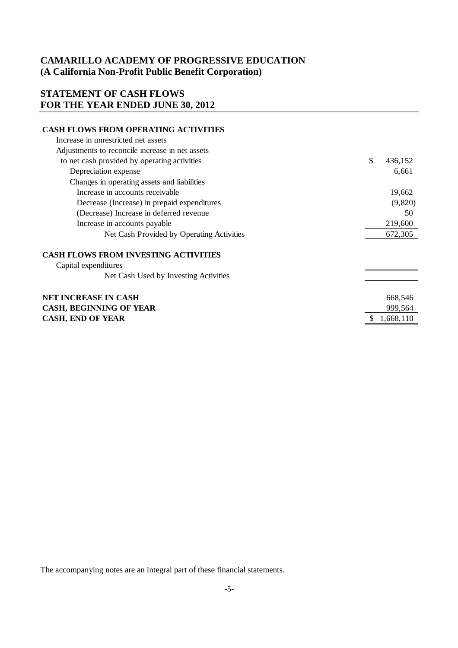### **STATEMENT OF CASH FLOWS FOR THE YEAR ENDED JUNE 30, 2012**

#### **CASH FLOWS FROM OPERATING ACTIVITIES**

| Increase in unrestricted net assets             |                 |  |
|-------------------------------------------------|-----------------|--|
| Adjustments to reconcile increase in net assets |                 |  |
| to net cash provided by operating activities    | \$<br>436,152   |  |
| Depreciation expense                            | 6,661           |  |
| Changes in operating assets and liabilities     |                 |  |
| Increase in accounts receivable                 | 19,662          |  |
| Decrease (Increase) in prepaid expenditures     | (9,820)         |  |
| (Decrease) Increase in deferred revenue         | 50              |  |
| Increase in accounts payable                    | 219,600         |  |
| Net Cash Provided by Operating Activities       | 672,305         |  |
| <b>CASH FLOWS FROM INVESTING ACTIVITIES</b>     |                 |  |
| Capital expenditures                            |                 |  |
| Net Cash Used by Investing Activities           |                 |  |
| NET INCREASE IN CASH                            | 668,546         |  |
| <b>CASH, BEGINNING OF YEAR</b>                  | 999,564         |  |
| <b>CASH, END OF YEAR</b>                        | 1,668,110<br>\$ |  |

The accompanying notes are an integral part of these financial statements.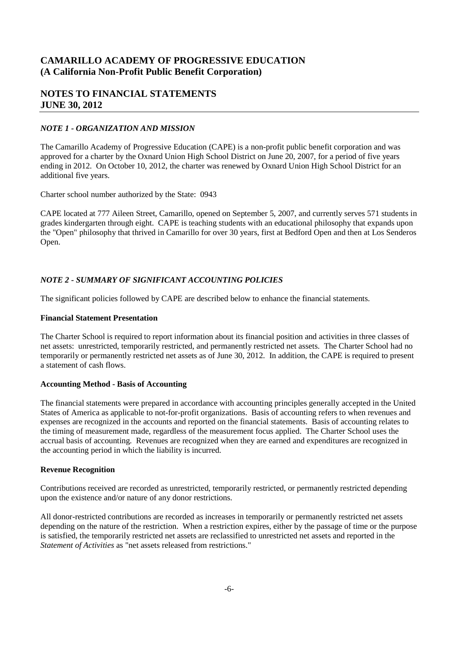### **NOTES TO FINANCIAL STATEMENTS JUNE 30, 2012**

#### *NOTE 1 - ORGANIZATION AND MISSION*

The Camarillo Academy of Progressive Education (CAPE) is a non-profit public benefit corporation and was approved for a charter by the Oxnard Union High School District on June 20, 2007, for a period of five years ending in 2012. On October 10, 2012, the charter was renewed by Oxnard Union High School District for an additional five years.

Charter school number authorized by the State: 0943

CAPE located at 777 Aileen Street, Camarillo, opened on September 5, 2007, and currently serves 571 students in grades kindergarten through eight. CAPE is teaching students with an educational philosophy that expands upon the "Open" philosophy that thrived in Camarillo for over 30 years, first at Bedford Open and then at Los Senderos Open.

#### *NOTE 2 - SUMMARY OF SIGNIFICANT ACCOUNTING POLICIES*

The significant policies followed by CAPE are described below to enhance the financial statements.

#### **Financial Statement Presentation**

The Charter School is required to report information about its financial position and activities in three classes of net assets: unrestricted, temporarily restricted, and permanently restricted net assets. The Charter School had no temporarily or permanently restricted net assets as of June 30, 2012. In addition, the CAPE is required to present a statement of cash flows.

#### **Accounting Method - Basis of Accounting**

The financial statements were prepared in accordance with accounting principles generally accepted in the United States of America as applicable to not-for-profit organizations. Basis of accounting refers to when revenues and expenses are recognized in the accounts and reported on the financial statements. Basis of accounting relates to the timing of measurement made, regardless of the measurement focus applied. The Charter School uses the accrual basis of accounting. Revenues are recognized when they are earned and expenditures are recognized in the accounting period in which the liability is incurred.

#### **Revenue Recognition**

Contributions received are recorded as unrestricted, temporarily restricted, or permanently restricted depending upon the existence and/or nature of any donor restrictions.

All donor-restricted contributions are recorded as increases in temporarily or permanently restricted net assets depending on the nature of the restriction. When a restriction expires, either by the passage of time or the purpose is satisfied, the temporarily restricted net assets are reclassified to unrestricted net assets and reported in the *Statement of Activities* as "net assets released from restrictions."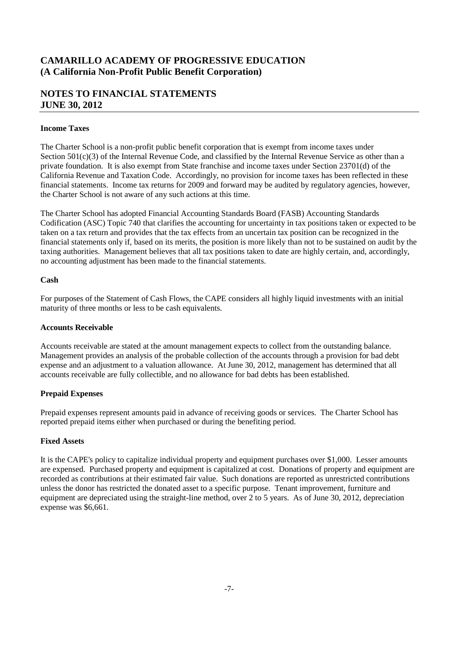### **NOTES TO FINANCIAL STATEMENTS JUNE 30, 2012**

#### **Income Taxes**

The Charter School is a non-profit public benefit corporation that is exempt from income taxes under Section  $501(c)(3)$  of the Internal Revenue Code, and classified by the Internal Revenue Service as other than a private foundation. It is also exempt from State franchise and income taxes under Section 23701(d) of the California Revenue and Taxation Code. Accordingly, no provision for income taxes has been reflected in these financial statements. Income tax returns for 2009 and forward may be audited by regulatory agencies, however, the Charter School is not aware of any such actions at this time.

The Charter School has adopted Financial Accounting Standards Board (FASB) Accounting Standards Codification (ASC) Topic 740 that clarifies the accounting for uncertainty in tax positions taken or expected to be taken on a tax return and provides that the tax effects from an uncertain tax position can be recognized in the financial statements only if, based on its merits, the position is more likely than not to be sustained on audit by the taxing authorities. Management believes that all tax positions taken to date are highly certain, and, accordingly, no accounting adjustment has been made to the financial statements.

#### **Cash**

For purposes of the Statement of Cash Flows, the CAPE considers all highly liquid investments with an initial maturity of three months or less to be cash equivalents.

#### **Accounts Receivable**

Accounts receivable are stated at the amount management expects to collect from the outstanding balance. Management provides an analysis of the probable collection of the accounts through a provision for bad debt expense and an adjustment to a valuation allowance. At June 30, 2012, management has determined that all accounts receivable are fully collectible, and no allowance for bad debts has been established.

#### **Prepaid Expenses**

Prepaid expenses represent amounts paid in advance of receiving goods or services. The Charter School has reported prepaid items either when purchased or during the benefiting period.

#### **Fixed Assets**

It is the CAPE's policy to capitalize individual property and equipment purchases over \$1,000. Lesser amounts are expensed. Purchased property and equipment is capitalized at cost. Donations of property and equipment are recorded as contributions at their estimated fair value. Such donations are reported as unrestricted contributions unless the donor has restricted the donated asset to a specific purpose. Tenant improvement, furniture and equipment are depreciated using the straight-line method, over 2 to 5 years. As of June 30, 2012, depreciation expense was \$6,661.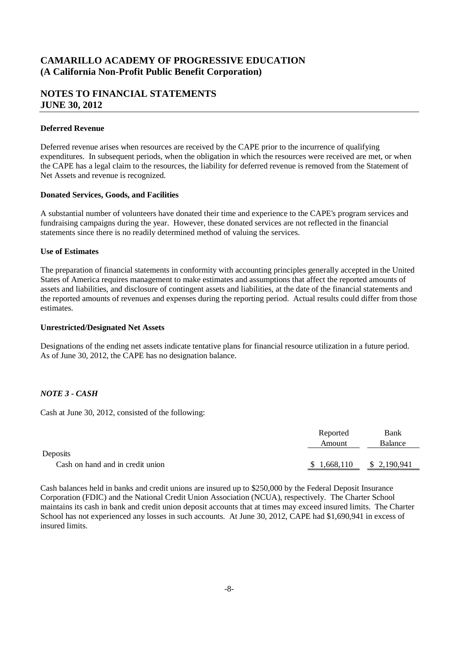### **NOTES TO FINANCIAL STATEMENTS JUNE 30, 2012**

#### **Deferred Revenue**

Deferred revenue arises when resources are received by the CAPE prior to the incurrence of qualifying expenditures. In subsequent periods, when the obligation in which the resources were received are met, or when the CAPE has a legal claim to the resources, the liability for deferred revenue is removed from the Statement of Net Assets and revenue is recognized.

#### **Donated Services, Goods, and Facilities**

A substantial number of volunteers have donated their time and experience to the CAPE's program services and fundraising campaigns during the year. However, these donated services are not reflected in the financial statements since there is no readily determined method of valuing the services.

#### **Use of Estimates**

The preparation of financial statements in conformity with accounting principles generally accepted in the United States of America requires management to make estimates and assumptions that affect the reported amounts of assets and liabilities, and disclosure of contingent assets and liabilities, at the date of the financial statements and the reported amounts of revenues and expenses during the reporting period. Actual results could differ from those estimates.

#### **Unrestricted/Designated Net Assets**

Designations of the ending net assets indicate tentative plans for financial resource utilization in a future period. As of June 30, 2012, the CAPE has no designation balance.

#### *NOTE 3 - CASH*

Cash at June 30, 2012, consisted of the following:

|                                  | Reported    | Bank        |
|----------------------------------|-------------|-------------|
|                                  | Amount      | Balance     |
| Deposits                         |             |             |
| Cash on hand and in credit union | \$1,668,110 | \$2,190,941 |

Cash balances held in banks and credit unions are insured up to \$250,000 by the Federal Deposit Insurance Corporation (FDIC) and the National Credit Union Association (NCUA), respectively. The Charter School maintains its cash in bank and credit union deposit accounts that at times may exceed insured limits. The Charter School has not experienced any losses in such accounts. At June 30, 2012, CAPE had \$1,690,941 in excess of insured limits.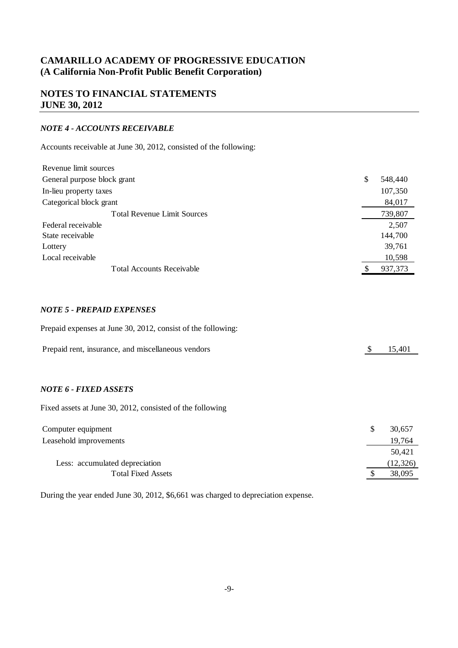### **NOTES TO FINANCIAL STATEMENTS JUNE 30, 2012**

#### *NOTE 4 - ACCOUNTS RECEIVABLE*

Accounts receivable at June 30, 2012, consisted of the following:

| Revenue limit sources              |   |         |
|------------------------------------|---|---------|
| General purpose block grant        | S | 548,440 |
| In-lieu property taxes             |   | 107,350 |
| Categorical block grant            |   | 84,017  |
| <b>Total Revenue Limit Sources</b> |   | 739,807 |
| Federal receivable                 |   | 2,507   |
| State receivable                   |   | 144,700 |
| Lottery                            |   | 39,761  |
| Local receivable                   |   | 10,598  |
| <b>Total Accounts Receivable</b>   |   | 937,373 |
|                                    |   |         |

#### *NOTE 5 - PREPAID EXPENSES*

Prepaid expenses at June 30, 2012, consist of the following:

| Prepaid rent, insurance, and miscellaneous vendors | \$15,401 |  |
|----------------------------------------------------|----------|--|
|----------------------------------------------------|----------|--|

#### *NOTE 6 - FIXED ASSETS*

Fixed assets at June 30, 2012, consisted of the following

| Computer equipment             | 30,657    |
|--------------------------------|-----------|
| Leasehold improvements         | 19,764    |
|                                | 50.421    |
| Less: accumulated depreciation | (12, 326) |
| <b>Total Fixed Assets</b>      | 38,095    |

During the year ended June 30, 2012, \$6,661 was charged to depreciation expense.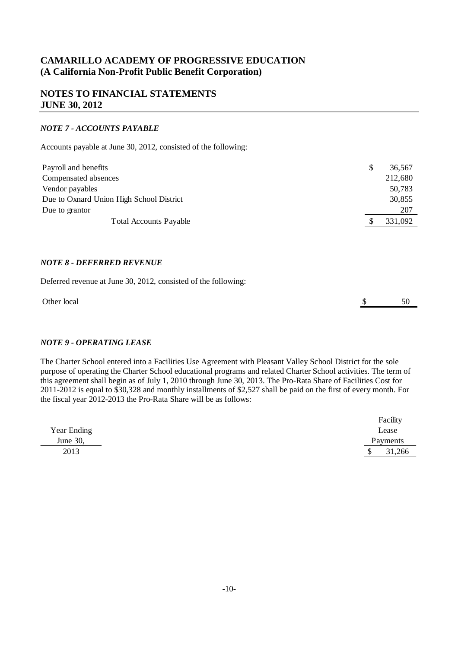### **NOTES TO FINANCIAL STATEMENTS JUNE 30, 2012**

#### *NOTE 7 - ACCOUNTS PAYABLE*

Accounts payable at June 30, 2012, consisted of the following:

| Payroll and benefits                     | 36,567  |
|------------------------------------------|---------|
| Compensated absences                     | 212,680 |
| Vendor payables                          | 50,783  |
| Due to Oxnard Union High School District | 30,855  |
| Due to grantor                           | 207     |
| <b>Total Accounts Payable</b>            | 331,092 |

#### *NOTE 8 - DEFERRED REVENUE*

Deferred revenue at June 30, 2012, consisted of the following:

| Other local | - - |
|-------------|-----|
|             |     |

#### *NOTE 9 - OPERATING LEASE*

The Charter School entered into a Facilities Use Agreement with Pleasant Valley School District for the sole purpose of operating the Charter School educational programs and related Charter School activities. The term of this agreement shall begin as of July 1, 2010 through June 30, 2013. The Pro-Rata Share of Facilities Cost for 2011-2012 is equal to \$30,328 and monthly installments of \$2,527 shall be paid on the first of every month. For the fiscal year 2012-2013 the Pro-Rata Share will be as follows:

|             | Facility     |
|-------------|--------------|
| Year Ending | Lease        |
| June 30,    | Payments     |
| 2013        | 31,266<br>۰D |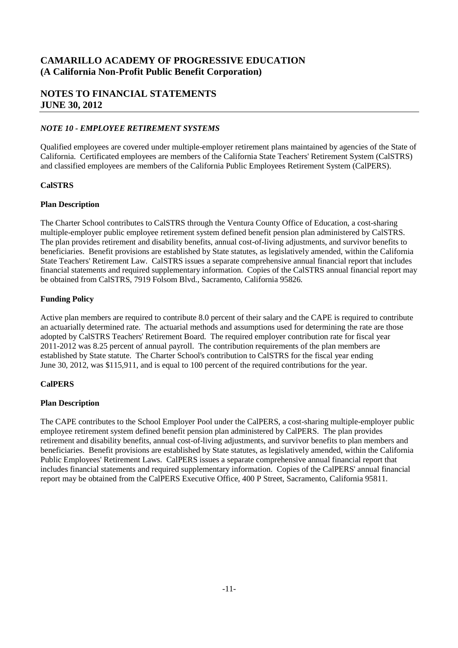### **NOTES TO FINANCIAL STATEMENTS JUNE 30, 2012**

#### *NOTE 10 - EMPLOYEE RETIREMENT SYSTEMS*

Qualified employees are covered under multiple-employer retirement plans maintained by agencies of the State of California. Certificated employees are members of the California State Teachers' Retirement System (CalSTRS) and classified employees are members of the California Public Employees Retirement System (CalPERS).

#### **CalSTRS**

#### **Plan Description**

The Charter School contributes to CalSTRS through the Ventura County Office of Education, a cost-sharing multiple-employer public employee retirement system defined benefit pension plan administered by CalSTRS. The plan provides retirement and disability benefits, annual cost-of-living adjustments, and survivor benefits to beneficiaries. Benefit provisions are established by State statutes, as legislatively amended, within the California State Teachers' Retirement Law. CalSTRS issues a separate comprehensive annual financial report that includes financial statements and required supplementary information. Copies of the CalSTRS annual financial report may be obtained from CalSTRS, 7919 Folsom Blvd., Sacramento, California 95826.

#### **Funding Policy**

Active plan members are required to contribute 8.0 percent of their salary and the CAPE is required to contribute an actuarially determined rate. The actuarial methods and assumptions used for determining the rate are those adopted by CalSTRS Teachers' Retirement Board. The required employer contribution rate for fiscal year 2011-2012 was 8.25 percent of annual payroll. The contribution requirements of the plan members are established by State statute. The Charter School's contribution to CalSTRS for the fiscal year ending June 30, 2012, was \$115,911, and is equal to 100 percent of the required contributions for the year.

#### **CalPERS**

#### **Plan Description**

The CAPE contributes to the School Employer Pool under the CalPERS, a cost-sharing multiple-employer public employee retirement system defined benefit pension plan administered by CalPERS. The plan provides retirement and disability benefits, annual cost-of-living adjustments, and survivor benefits to plan members and beneficiaries. Benefit provisions are established by State statutes, as legislatively amended, within the California Public Employees' Retirement Laws. CalPERS issues a separate comprehensive annual financial report that includes financial statements and required supplementary information. Copies of the CalPERS' annual financial report may be obtained from the CalPERS Executive Office, 400 P Street, Sacramento, California 95811.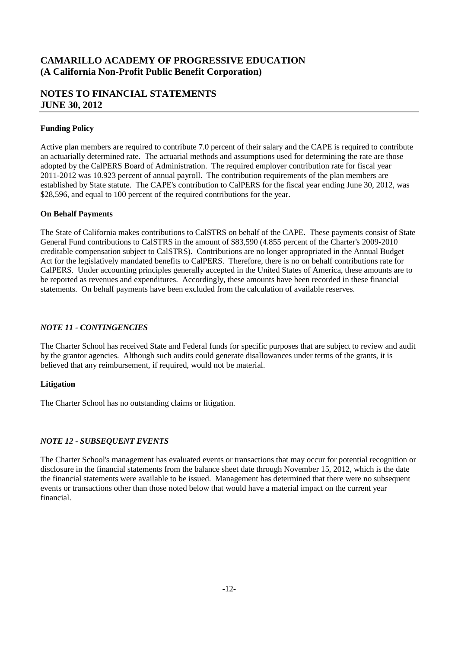### **NOTES TO FINANCIAL STATEMENTS JUNE 30, 2012**

#### **Funding Policy**

Active plan members are required to contribute 7.0 percent of their salary and the CAPE is required to contribute an actuarially determined rate. The actuarial methods and assumptions used for determining the rate are those adopted by the CalPERS Board of Administration. The required employer contribution rate for fiscal year 2011-2012 was 10.923 percent of annual payroll. The contribution requirements of the plan members are established by State statute. The CAPE's contribution to CalPERS for the fiscal year ending June 30, 2012, was \$28,596, and equal to 100 percent of the required contributions for the year.

#### **On Behalf Payments**

The State of California makes contributions to CalSTRS on behalf of the CAPE. These payments consist of State General Fund contributions to CalSTRS in the amount of \$83,590 (4.855 percent of the Charter's 2009-2010 creditable compensation subject to CalSTRS). Contributions are no longer appropriated in the Annual Budget Act for the legislatively mandated benefits to CalPERS. Therefore, there is no on behalf contributions rate for CalPERS. Under accounting principles generally accepted in the United States of America, these amounts are to be reported as revenues and expenditures. Accordingly, these amounts have been recorded in these financial statements. On behalf payments have been excluded from the calculation of available reserves.

#### *NOTE 11 - CONTINGENCIES*

The Charter School has received State and Federal funds for specific purposes that are subject to review and audit by the grantor agencies. Although such audits could generate disallowances under terms of the grants, it is believed that any reimbursement, if required, would not be material.

#### **Litigation**

The Charter School has no outstanding claims or litigation.

#### *NOTE 12 - SUBSEQUENT EVENTS*

The Charter School's management has evaluated events or transactions that may occur for potential recognition or disclosure in the financial statements from the balance sheet date through November 15, 2012, which is the date the financial statements were available to be issued. Management has determined that there were no subsequent events or transactions other than those noted below that would have a material impact on the current year financial.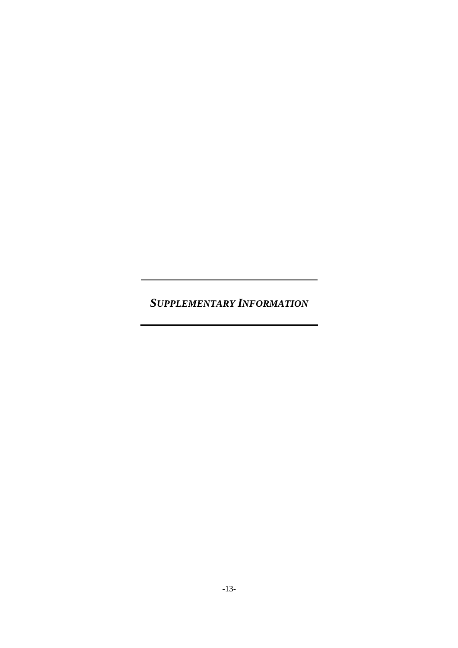*SUPPLEMENTARY INFORMATION*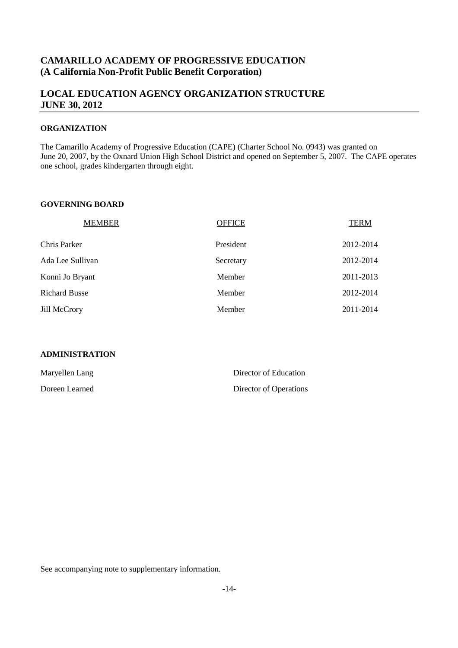### **LOCAL EDUCATION AGENCY ORGANIZATION STRUCTURE JUNE 30, 2012**

#### **ORGANIZATION**

The Camarillo Academy of Progressive Education (CAPE) (Charter School No. 0943) was granted on June 20, 2007, by the Oxnard Union High School District and opened on September 5, 2007. The CAPE operates one school, grades kindergarten through eight.

#### **GOVERNING BOARD**

| <b>MEMBER</b>        | <b>OFFICE</b> | <b>TERM</b> |
|----------------------|---------------|-------------|
| Chris Parker         | President     | 2012-2014   |
| Ada Lee Sullivan     | Secretary     | 2012-2014   |
| Konni Jo Bryant      | Member        | 2011-2013   |
| <b>Richard Busse</b> | Member        | 2012-2014   |
| <b>Jill McCrory</b>  | Member        | 2011-2014   |

#### **ADMINISTRATION**

| Maryellen Lang | Director of Education  |
|----------------|------------------------|
| Doreen Learned | Director of Operations |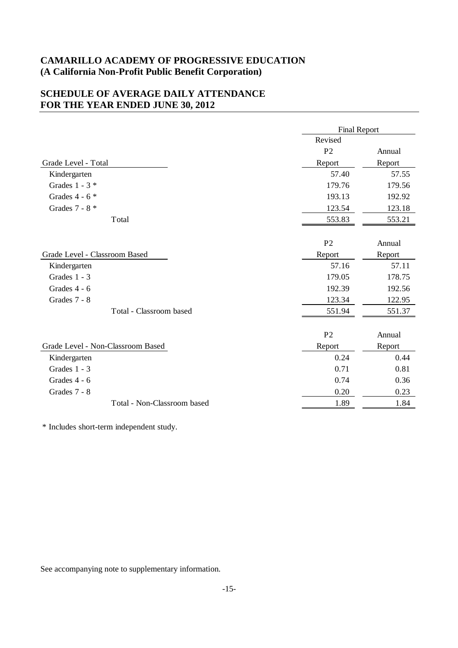### **SCHEDULE OF AVERAGE DAILY ATTENDANCE FOR THE YEAR ENDED JUNE 30, 2012**

|                                   | <b>Final Report</b> |        |
|-----------------------------------|---------------------|--------|
|                                   | Revised             |        |
|                                   | P <sub>2</sub>      | Annual |
| Grade Level - Total               | Report              | Report |
| Kindergarten                      | 57.40               | 57.55  |
| Grades $1 - 3$ *                  | 179.76              | 179.56 |
| Grades $4 - 6$ *                  | 193.13              | 192.92 |
| Grades $7 - 8$ *                  | 123.54              | 123.18 |
| Total                             | 553.83              | 553.21 |
|                                   |                     |        |
|                                   | P <sub>2</sub>      | Annual |
| Grade Level - Classroom Based     | Report              | Report |
| Kindergarten                      | 57.16               | 57.11  |
| Grades $1 - 3$                    | 179.05              | 178.75 |
| Grades 4 - 6                      | 192.39              | 192.56 |
| Grades 7 - 8                      | 123.34              | 122.95 |
| Total - Classroom based           | 551.94              | 551.37 |
|                                   |                     |        |
|                                   | P <sub>2</sub>      | Annual |
| Grade Level - Non-Classroom Based | Report              | Report |
| Kindergarten                      | 0.24                | 0.44   |
| Grades 1 - 3                      | 0.71                | 0.81   |
| Grades 4 - 6                      | 0.74                | 0.36   |
| Grades 7 - 8                      | $0.20\,$            | 0.23   |
| Total - Non-Classroom based       | 1.89                | 1.84   |
|                                   |                     |        |

\* Includes short-term independent study.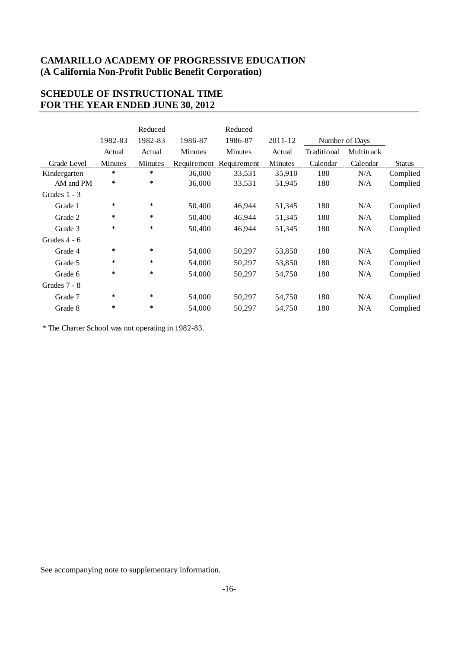### **SCHEDULE OF INSTRUCTIONAL TIME FOR THE YEAR ENDED JUNE 30, 2012**

|                |         | Reduced |                | Reduced        |         |             |                |               |
|----------------|---------|---------|----------------|----------------|---------|-------------|----------------|---------------|
|                | 1982-83 | 1982-83 | 1986-87        | 1986-87        | 2011-12 |             | Number of Days |               |
|                | Actual  | Actual  | <b>Minutes</b> | <b>Minutes</b> | Actual  | Traditional | Multitrack     |               |
| Grade Level    | Minutes | Minutes | Requirement    | Requirement    | Minutes | Calendar    | Calendar       | <b>Status</b> |
| Kindergarten   | $\ast$  | $*$     | 36,000         | 33,531         | 35,910  | 180         | N/A            | Complied      |
| AM and PM      | $\ast$  | $\ast$  | 36,000         | 33,531         | 51,945  | 180         | N/A            | Complied      |
| Grades $1 - 3$ |         |         |                |                |         |             |                |               |
| Grade 1        | $\ast$  | $\ast$  | 50,400         | 46,944         | 51,345  | 180         | N/A            | Complied      |
| Grade 2        | $\ast$  | $\ast$  | 50,400         | 46,944         | 51,345  | 180         | N/A            | Complied      |
| Grade 3        | $\ast$  | $\ast$  | 50,400         | 46,944         | 51,345  | 180         | N/A            | Complied      |
| Grades 4 - 6   |         |         |                |                |         |             |                |               |
| Grade 4        | $\ast$  | $\ast$  | 54,000         | 50,297         | 53,850  | 180         | N/A            | Complied      |
| Grade 5        | ∗       | $\ast$  | 54,000         | 50,297         | 53,850  | 180         | N/A            | Complied      |
| Grade 6        | $\ast$  | $\ast$  | 54,000         | 50,297         | 54,750  | 180         | N/A            | Complied      |
| Grades $7 - 8$ |         |         |                |                |         |             |                |               |
| Grade 7        | $\ast$  | $\ast$  | 54,000         | 50,297         | 54,750  | 180         | N/A            | Complied      |
| Grade 8        | $\ast$  | $\ast$  | 54,000         | 50,297         | 54,750  | 180         | N/A            | Complied      |

\* The Charter School was not operating in 1982-83.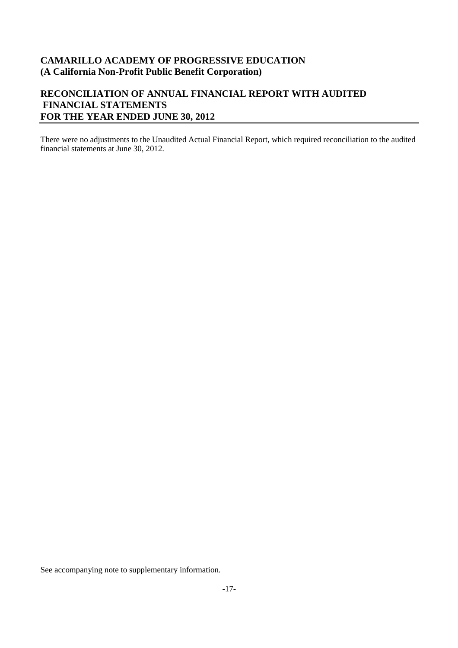### **RECONCILIATION OF ANNUAL FINANCIAL REPORT WITH AUDITED FINANCIAL STATEMENTS FOR THE YEAR ENDED JUNE 30, 2012**

There were no adjustments to the Unaudited Actual Financial Report, which required reconciliation to the audited financial statements at June 30, 2012.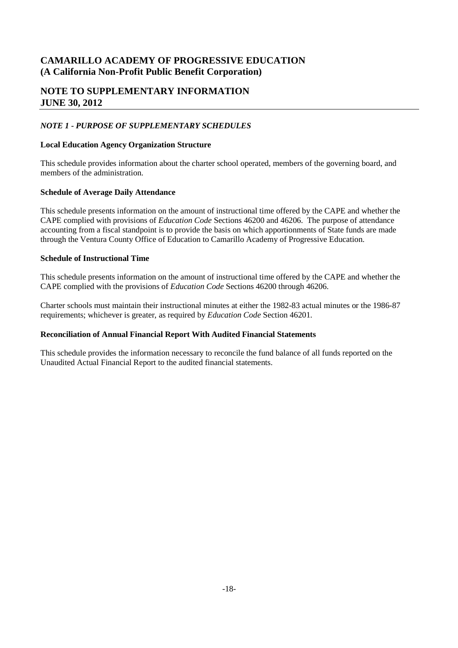### **NOTE TO SUPPLEMENTARY INFORMATION JUNE 30, 2012**

#### *NOTE 1 - PURPOSE OF SUPPLEMENTARY SCHEDULES*

#### **Local Education Agency Organization Structure**

This schedule provides information about the charter school operated, members of the governing board, and members of the administration.

#### **Schedule of Average Daily Attendance**

This schedule presents information on the amount of instructional time offered by the CAPE and whether the CAPE complied with provisions of *Education Code* Sections 46200 and 46206. The purpose of attendance accounting from a fiscal standpoint is to provide the basis on which apportionments of State funds are made through the Ventura County Office of Education to Camarillo Academy of Progressive Education.

#### **Schedule of Instructional Time**

This schedule presents information on the amount of instructional time offered by the CAPE and whether the CAPE complied with the provisions of *Education Code* Sections 46200 through 46206.

Charter schools must maintain their instructional minutes at either the 1982-83 actual minutes or the 1986-87 requirements; whichever is greater, as required by *Education Code* Section 46201.

#### **Reconciliation of Annual Financial Report With Audited Financial Statements**

This schedule provides the information necessary to reconcile the fund balance of all funds reported on the Unaudited Actual Financial Report to the audited financial statements.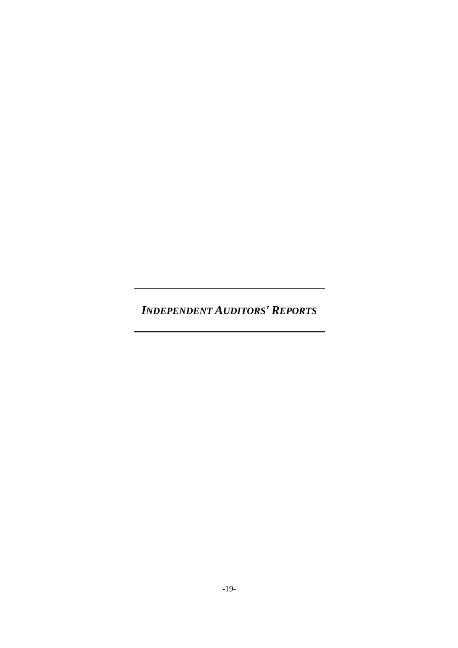*INDEPENDENT AUDITORS' REPORTS*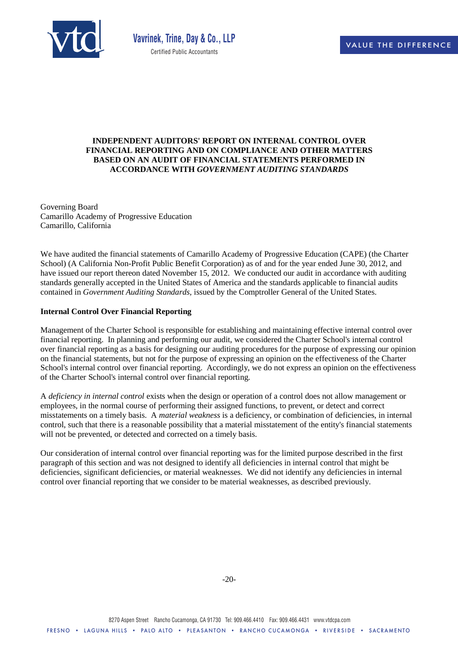

#### **INDEPENDENT AUDITORS' REPORT ON INTERNAL CONTROL OVER FINANCIAL REPORTING AND ON COMPLIANCE AND OTHER MATTERS BASED ON AN AUDIT OF FINANCIAL STATEMENTS PERFORMED IN ACCORDANCE WITH** *GOVERNMENT AUDITING STANDARDS*

Governing Board Camarillo Academy of Progressive Education Camarillo, California

We have audited the financial statements of Camarillo Academy of Progressive Education (CAPE) (the Charter School) (A California Non-Profit Public Benefit Corporation) as of and for the year ended June 30, 2012, and have issued our report thereon dated November 15, 2012. We conducted our audit in accordance with auditing standards generally accepted in the United States of America and the standards applicable to financial audits contained in *Government Auditing Standards,* issued by the Comptroller General of the United States.

#### **Internal Control Over Financial Reporting**

Management of the Charter School is responsible for establishing and maintaining effective internal control over financial reporting. In planning and performing our audit, we considered the Charter School's internal control over financial reporting as a basis for designing our auditing procedures for the purpose of expressing our opinion on the financial statements, but not for the purpose of expressing an opinion on the effectiveness of the Charter School's internal control over financial reporting. Accordingly, we do not express an opinion on the effectiveness of the Charter School's internal control over financial reporting.

A *deficiency in internal control* exists when the design or operation of a control does not allow management or employees, in the normal course of performing their assigned functions, to prevent, or detect and correct misstatements on a timely basis. A *material weakness* is a deficiency, or combination of deficiencies, in internal control, such that there is a reasonable possibility that a material misstatement of the entity's financial statements will not be prevented, or detected and corrected on a timely basis.

Our consideration of internal control over financial reporting was for the limited purpose described in the first paragraph of this section and was not designed to identify all deficiencies in internal control that might be deficiencies, significant deficiencies, or material weaknesses. We did not identify any deficiencies in internal control over financial reporting that we consider to be material weaknesses, as described previously.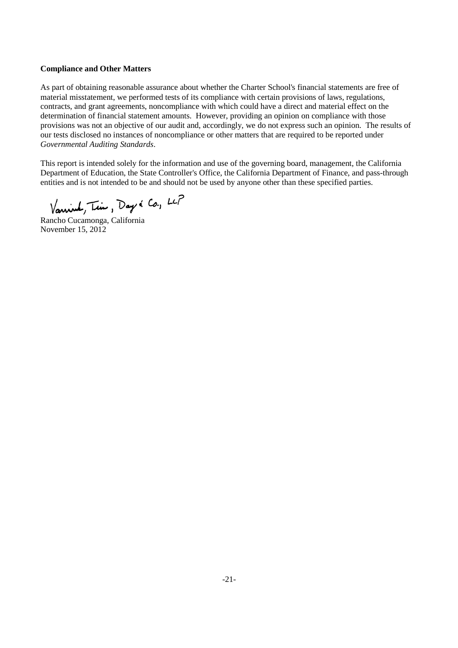#### **Compliance and Other Matters**

As part of obtaining reasonable assurance about whether the Charter School's financial statements are free of material misstatement, we performed tests of its compliance with certain provisions of laws, regulations, contracts, and grant agreements, noncompliance with which could have a direct and material effect on the determination of financial statement amounts. However, providing an opinion on compliance with those provisions was not an objective of our audit and, accordingly, we do not express such an opinion. The results of our tests disclosed no instances of noncompliance or other matters that are required to be reported under *Governmental Auditing Standards*.

This report is intended solely for the information and use of the governing board, management, the California Department of Education, the State Controller's Office, the California Department of Finance, and pass-through entities and is not intended to be and should not be used by anyone other than these specified parties.

Vanisk, Tim, Day & Co., LCP

Rancho Cucamonga, California November 15, 2012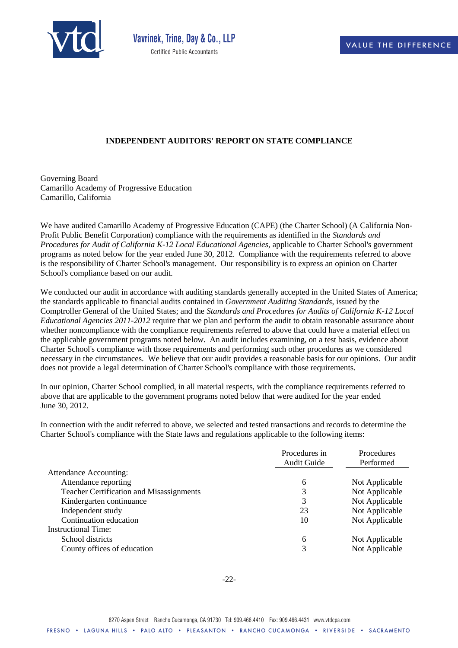

#### **INDEPENDENT AUDITORS' REPORT ON STATE COMPLIANCE**

Governing Board Camarillo Academy of Progressive Education Camarillo, California

We have audited Camarillo Academy of Progressive Education (CAPE) (the Charter School) (A California Non-Profit Public Benefit Corporation) compliance with the requirements as identified in the *Standards and Procedures for Audit of California K-12 Local Educational Agencies,* applicable to Charter School's government programs as noted below for the year ended June 30, 2012. Compliance with the requirements referred to above is the responsibility of Charter School's management. Our responsibility is to express an opinion on Charter School's compliance based on our audit.

We conducted our audit in accordance with auditing standards generally accepted in the United States of America; the standards applicable to financial audits contained in *Government Auditing Standards*, issued by the Comptroller General of the United States; and the *Standards and Procedures for Audits of California K-12 Local Educational Agencies 2011-2012* require that we plan and perform the audit to obtain reasonable assurance about whether noncompliance with the compliance requirements referred to above that could have a material effect on the applicable government programs noted below. An audit includes examining, on a test basis, evidence about Charter School's compliance with those requirements and performing such other procedures as we considered necessary in the circumstances. We believe that our audit provides a reasonable basis for our opinions. Our audit does not provide a legal determination of Charter School's compliance with those requirements.

In our opinion, Charter School complied, in all material respects, with the compliance requirements referred to above that are applicable to the government programs noted below that were audited for the year ended June 30, 2012.

In connection with the audit referred to above, we selected and tested transactions and records to determine the Charter School's compliance with the State laws and regulations applicable to the following items:

|                                                 | Procedures in | Procedures     |
|-------------------------------------------------|---------------|----------------|
|                                                 | Audit Guide   | Performed      |
| Attendance Accounting:                          |               |                |
| Attendance reporting                            | 6             | Not Applicable |
| <b>Teacher Certification and Misassignments</b> | 3             | Not Applicable |
| Kindergarten continuance                        |               | Not Applicable |
| Independent study                               | 23            | Not Applicable |
| Continuation education                          | 10            | Not Applicable |
| Instructional Time:                             |               |                |
| School districts                                | 6             | Not Applicable |
| County offices of education                     | 3             | Not Applicable |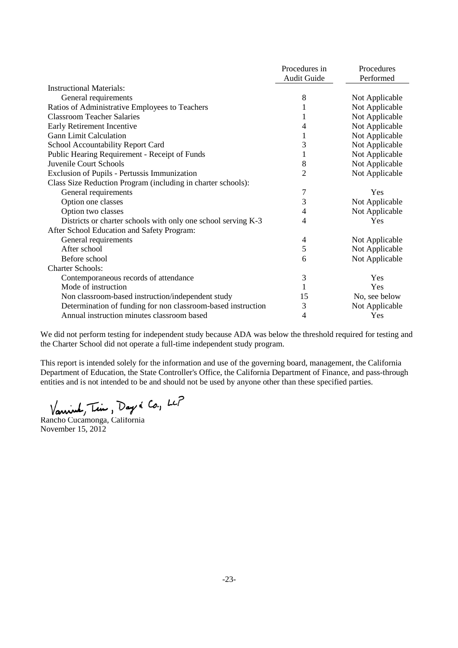|                                                               | Procedures in  | Procedures     |
|---------------------------------------------------------------|----------------|----------------|
|                                                               | Audit Guide    | Performed      |
| <b>Instructional Materials:</b>                               |                |                |
| General requirements                                          | 8              | Not Applicable |
| Ratios of Administrative Employees to Teachers                |                | Not Applicable |
| <b>Classroom Teacher Salaries</b>                             |                | Not Applicable |
| Early Retirement Incentive                                    | 4              | Not Applicable |
| <b>Gann Limit Calculation</b>                                 |                | Not Applicable |
| School Accountability Report Card                             | 3              | Not Applicable |
| Public Hearing Requirement - Receipt of Funds                 |                | Not Applicable |
| Juvenile Court Schools                                        | 8              | Not Applicable |
| Exclusion of Pupils - Pertussis Immunization                  | $\overline{2}$ | Not Applicable |
| Class Size Reduction Program (including in charter schools):  |                |                |
| General requirements                                          | 7              | Yes            |
| Option one classes                                            | 3              | Not Applicable |
| Option two classes                                            | 4              | Not Applicable |
| Districts or charter schools with only one school serving K-3 | 4              | Yes            |
| After School Education and Safety Program:                    |                |                |
| General requirements                                          | 4              | Not Applicable |
| After school                                                  | 5              | Not Applicable |
| Before school                                                 | 6              | Not Applicable |
| <b>Charter Schools:</b>                                       |                |                |
| Contemporaneous records of attendance                         | 3              | Yes            |
| Mode of instruction                                           | 1              | Yes            |
| Non classroom-based instruction/independent study             | 15             | No, see below  |
| Determination of funding for non classroom-based instruction  | 3              | Not Applicable |
| Annual instruction minutes classroom based                    | 4              | Yes            |

We did not perform testing for independent study because ADA was below the threshold required for testing and the Charter School did not operate a full-time independent study program.

This report is intended solely for the information and use of the governing board, management, the California Department of Education, the State Controller's Office, the California Department of Finance, and pass-through entities and is not intended to be and should not be used by anyone other than these specified parties.

Vanime, Tim, Day & Co., LCP<br>Rancho Cucamonga, California

November 15, 2012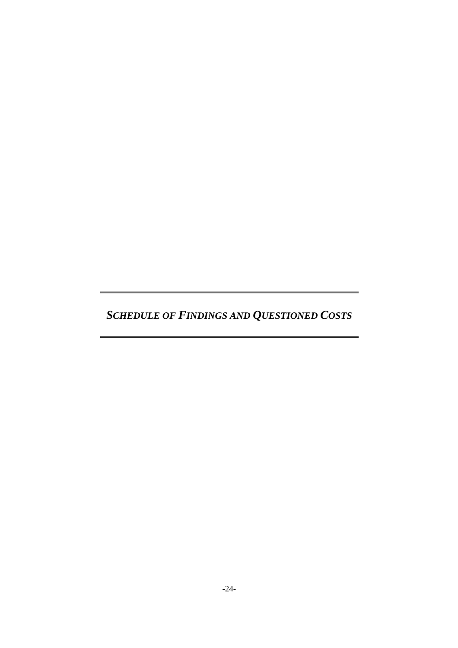*SCHEDULE OF FINDINGS AND QUESTIONED COSTS*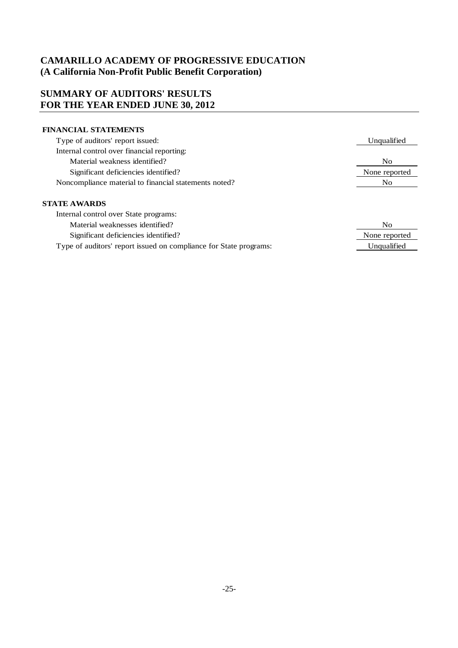### **SUMMARY OF AUDITORS' RESULTS FOR THE YEAR ENDED JUNE 30, 2012**

#### **FINANCIAL STATEMENTS**

| Type of auditors' report issued:                      | Unqualified   |
|-------------------------------------------------------|---------------|
| Internal control over financial reporting:            |               |
| Material weakness identified?                         | No            |
| Significant deficiencies identified?                  | None reported |
| Noncompliance material to financial statements noted? | No            |
|                                                       |               |
| <b>STATE AWARDS</b>                                   |               |
| Internal control over State programs:                 |               |
| Material weaknesses identified?                       | No            |
| Significant deficiencies identified?                  | None reported |

Unqualified

Type of auditors' report issued on compliance for State programs: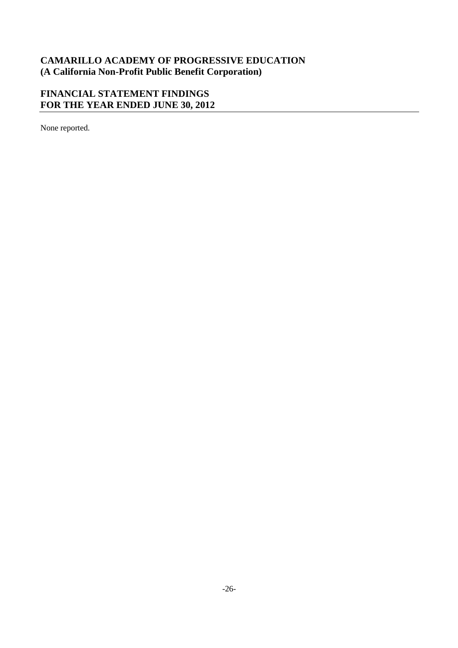# **FINANCIAL STATEMENT FINDINGS FOR THE YEAR ENDED JUNE 30, 2012**

None reported.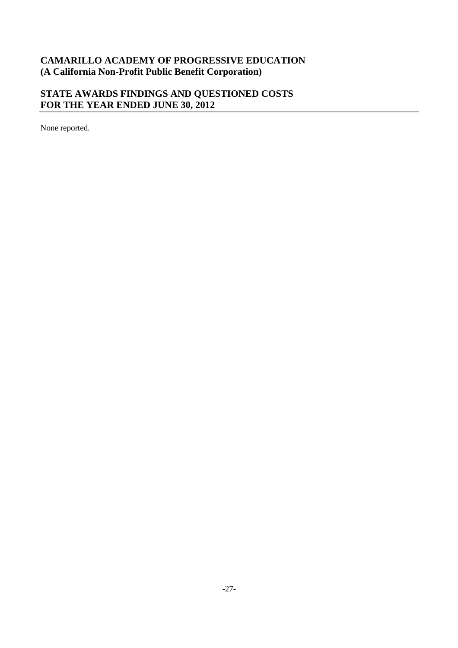# **STATE AWARDS FINDINGS AND QUESTIONED COSTS FOR THE YEAR ENDED JUNE 30, 2012**

None reported.